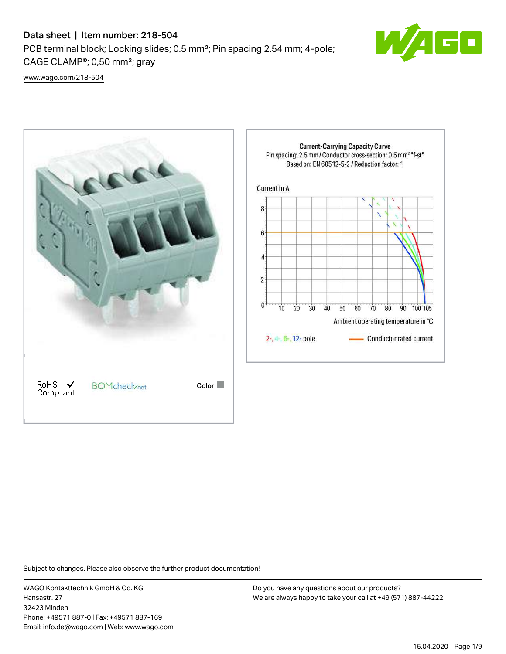# Data sheet | Item number: 218-504

PCB terminal block; Locking slides; 0.5 mm²; Pin spacing 2.54 mm; 4-pole; CAGE CLAMP®; 0,50 mm²; gray



[www.wago.com/218-504](http://www.wago.com/218-504)



Subject to changes. Please also observe the further product documentation!

WAGO Kontakttechnik GmbH & Co. KG Hansastr. 27 32423 Minden Phone: +49571 887-0 | Fax: +49571 887-169 Email: info.de@wago.com | Web: www.wago.com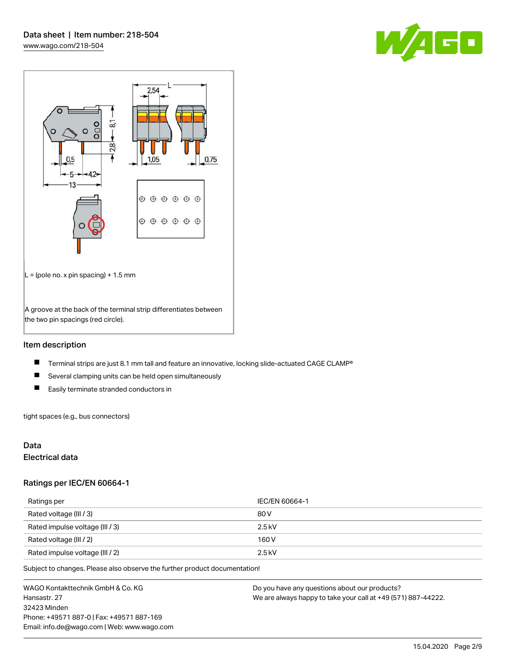



## Item description

- $\blacksquare$ Terminal strips are just 8.1 mm tall and feature an innovative, locking slide-actuated CAGE CLAMP®
- $\blacksquare$ Several clamping units can be held open simultaneously
- $\blacksquare$ Easily terminate stranded conductors in

tight spaces (e.g., bus connectors)

## Data

# Electrical data

## Ratings per IEC/EN 60664-1

| Ratings per                     | IEC/EN 60664-1 |
|---------------------------------|----------------|
| Rated voltage (III / 3)         | 80 V           |
| Rated impulse voltage (III / 3) | $2.5$ kV       |
| Rated voltage (III / 2)         | 160 V          |
| Rated impulse voltage (III / 2) | $2.5$ kV       |

Subject to changes. Please also observe the further product documentation!

WAGO Kontakttechnik GmbH & Co. KG Hansastr. 27 32423 Minden Phone: +49571 887-0 | Fax: +49571 887-169 Email: info.de@wago.com | Web: www.wago.com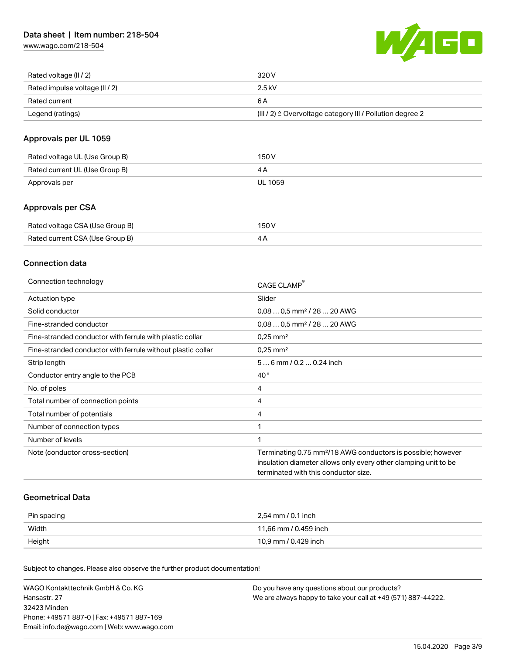[www.wago.com/218-504](http://www.wago.com/218-504)



| Rated voltage (II / 2)         | 320 V                                                                 |
|--------------------------------|-----------------------------------------------------------------------|
| Rated impulse voltage (II / 2) | 2.5 kV                                                                |
| Rated current                  | 6 A                                                                   |
| Legend (ratings)               | $(III / 2)$ $\triangle$ Overvoltage category III / Pollution degree 2 |

# Approvals per UL 1059

| Rated voltage UL (Use Group B) | 150 V   |
|--------------------------------|---------|
| Rated current UL (Use Group B) |         |
| Approvals per                  | UL 1059 |

## Approvals per CSA

| Rated voltage CSA (Use Group B) | 150 V |
|---------------------------------|-------|
| Rated current CSA (Use Group B) |       |

## Connection data

| Connection technology                                       | CAGE CLAMP                                                               |
|-------------------------------------------------------------|--------------------------------------------------------------------------|
| Actuation type                                              | Slider                                                                   |
| Solid conductor                                             | $0.080.5$ mm <sup>2</sup> / 28  20 AWG                                   |
| Fine-stranded conductor                                     | $0.080.5$ mm <sup>2</sup> / 28  20 AWG                                   |
| Fine-stranded conductor with ferrule with plastic collar    | $0.25$ mm <sup>2</sup>                                                   |
| Fine-stranded conductor with ferrule without plastic collar | $0.25$ mm <sup>2</sup>                                                   |
| Strip length                                                | 56 mm / 0.2 0.24 inch                                                    |
| Conductor entry angle to the PCB                            | $40^{\circ}$                                                             |
| No. of poles                                                | 4                                                                        |
| Total number of connection points                           | 4                                                                        |
| Total number of potentials                                  | 4                                                                        |
| Number of connection types                                  |                                                                          |
| Number of levels                                            |                                                                          |
| Note (conductor cross-section)                              | Terminating 0.75 mm <sup>2</sup> /18 AWG conductors is possible; however |
|                                                             | insulation diameter allows only every other clamping unit to be          |
|                                                             | terminated with this conductor size.                                     |
|                                                             |                                                                          |

## Geometrical Data

| Pin spacing | 2,54 mm / 0.1 inch    |
|-------------|-----------------------|
| Width       | 11,66 mm / 0.459 inch |
| Height      | 10,9 mm / 0.429 inch  |

Subject to changes. Please also observe the further product documentation!

| WAGO Kontakttechnik GmbH & Co. KG           | Do you have any questions about our products?                 |
|---------------------------------------------|---------------------------------------------------------------|
| Hansastr. 27                                | We are always happy to take your call at +49 (571) 887-44222. |
| 32423 Minden                                |                                                               |
| Phone: +49571 887-01 Fax: +49571 887-169    |                                                               |
| Email: info.de@wago.com   Web: www.wago.com |                                                               |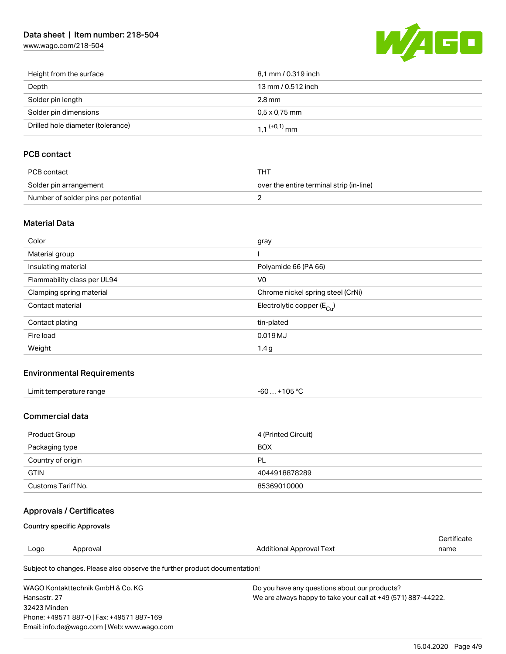# Data sheet | Item number: 218-504

[www.wago.com/218-504](http://www.wago.com/218-504)



| Height from the surface           | 8,1 mm / 0.319 inch        |
|-----------------------------------|----------------------------|
| Depth                             | 13 mm / 0.512 inch         |
| Solder pin length                 | 2.8 mm                     |
| Solder pin dimensions             | $0.5 \times 0.75$ mm       |
| Drilled hole diameter (tolerance) | $1.1$ <sup>(+0,1)</sup> mm |

# PCB contact

| PCB contact                         | тнт                                      |
|-------------------------------------|------------------------------------------|
| Solder pin arrangement              | over the entire terminal strip (in-line) |
| Number of solder pins per potential |                                          |

## Material Data

| Color                       | gray                                  |
|-----------------------------|---------------------------------------|
| Material group              |                                       |
| Insulating material         | Polyamide 66 (PA 66)                  |
| Flammability class per UL94 | V <sub>0</sub>                        |
| Clamping spring material    | Chrome nickel spring steel (CrNi)     |
| Contact material            | Electrolytic copper $(E_{\text{Cl}})$ |
| Contact plating             | tin-plated                            |
| Fire load                   | 0.019 MJ                              |
| Weight                      | 1.4 <sub>g</sub>                      |

## Environmental Requirements

| Limit temperature range<br>. | $+105 °C$<br>-60 |
|------------------------------|------------------|
|------------------------------|------------------|

## Commercial data

| Product Group      | 4 (Printed Circuit) |
|--------------------|---------------------|
| Packaging type     | <b>BOX</b>          |
| Country of origin  | PL                  |
| <b>GTIN</b>        | 4044918878289       |
| Customs Tariff No. | 85369010000         |

# Approvals / Certificates

## Country specific Approvals

Email: info.de@wago.com | Web: www.wago.com

|              |                                                                            |                                               | Certificate                                                   |  |
|--------------|----------------------------------------------------------------------------|-----------------------------------------------|---------------------------------------------------------------|--|
| Logo         | Approval                                                                   | Additional Approval Text                      | name                                                          |  |
|              | Subject to changes. Please also observe the further product documentation! |                                               |                                                               |  |
|              | WAGO Kontakttechnik GmbH & Co. KG                                          | Do you have any questions about our products? |                                                               |  |
| Hansastr, 27 |                                                                            |                                               | We are always happy to take your call at +49 (571) 887-44222. |  |
| 32423 Minden |                                                                            |                                               |                                                               |  |
|              | Phone: +49571 887-0   Fax: +49571 887-169                                  |                                               |                                                               |  |

15.04.2020 Page 4/9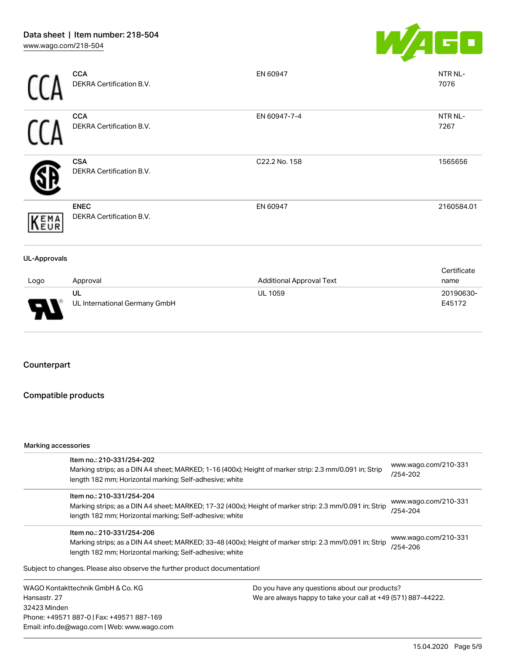

|                     | <b>CCA</b><br>DEKRA Certification B.V.  | EN 60947                        | NTR NL-<br>7076     |
|---------------------|-----------------------------------------|---------------------------------|---------------------|
|                     | <b>CCA</b><br>DEKRA Certification B.V.  | EN 60947-7-4                    | NTR NL-<br>7267     |
|                     | <b>CSA</b><br>DEKRA Certification B.V.  | C22.2 No. 158                   | 1565656             |
| KEMA                | <b>ENEC</b><br>DEKRA Certification B.V. | EN 60947                        | 2160584.01          |
| <b>UL-Approvals</b> |                                         |                                 |                     |
| Logo                | Approval                                | <b>Additional Approval Text</b> | Certificate<br>name |

| ogo | Approval                      | <b>Additional Approval Text</b> | name      |
|-----|-------------------------------|---------------------------------|-----------|
|     | ul                            | <b>UL 1059</b>                  | 20190630- |
| J   | UL International Germany GmbH |                                 | E45172    |

# Counterpart

٢

# Compatible products

### Marking accessories

Email: info.de@wago.com | Web: www.wago.com

|                                   | Item no.: 210-331/254-202<br>Marking strips; as a DIN A4 sheet; MARKED; 1-16 (400x); Height of marker strip: 2.3 mm/0.091 in; Strip<br>length 182 mm; Horizontal marking; Self-adhesive; white  |                                                               | www.wago.com/210-331<br>/254-202 |  |
|-----------------------------------|-------------------------------------------------------------------------------------------------------------------------------------------------------------------------------------------------|---------------------------------------------------------------|----------------------------------|--|
|                                   | Item no.: 210-331/254-204<br>Marking strips; as a DIN A4 sheet; MARKED; 17-32 (400x); Height of marker strip: 2.3 mm/0.091 in; Strip<br>length 182 mm; Horizontal marking; Self-adhesive; white |                                                               | www.wago.com/210-331<br>/254-204 |  |
|                                   | Item no.: 210-331/254-206<br>Marking strips; as a DIN A4 sheet; MARKED; 33-48 (400x); Height of marker strip: 2.3 mm/0.091 in; Strip<br>length 182 mm; Horizontal marking; Self-adhesive; white |                                                               | www.wago.com/210-331<br>/254-206 |  |
|                                   | Subject to changes. Please also observe the further product documentation!                                                                                                                      |                                                               |                                  |  |
| WAGO Kontakttechnik GmbH & Co. KG |                                                                                                                                                                                                 | Do you have any questions about our products?                 |                                  |  |
| Hansastr, 27                      |                                                                                                                                                                                                 | We are always happy to take your call at +49 (571) 887-44222. |                                  |  |
| 32423 Minden                      |                                                                                                                                                                                                 |                                                               |                                  |  |
|                                   | Phone: +49571 887-0   Fax: +49571 887-169                                                                                                                                                       |                                                               |                                  |  |

15.04.2020 Page 5/9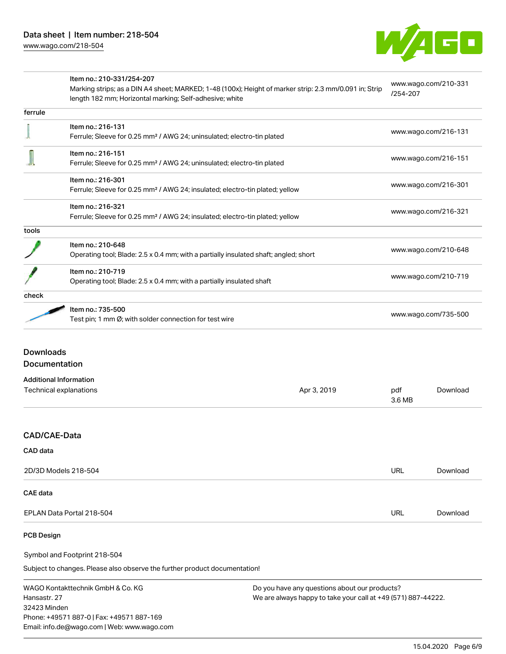

|         | Item no.: 210-331/254-207<br>Marking strips; as a DIN A4 sheet; MARKED; 1-48 (100x); Height of marker strip: 2.3 mm/0.091 in; Strip<br>length 182 mm; Horizontal marking; Self-adhesive; white | www.wago.com/210-331<br>/254-207 |
|---------|------------------------------------------------------------------------------------------------------------------------------------------------------------------------------------------------|----------------------------------|
| ferrule |                                                                                                                                                                                                |                                  |
|         | Item no.: 216-131                                                                                                                                                                              |                                  |
|         | Ferrule; Sleeve for 0.25 mm <sup>2</sup> / AWG 24; uninsulated; electro-tin plated                                                                                                             | www.wago.com/216-131             |
|         | Item no.: 216-151                                                                                                                                                                              |                                  |
|         | Ferrule; Sleeve for 0.25 mm <sup>2</sup> / AWG 24; uninsulated; electro-tin plated                                                                                                             | www.wago.com/216-151             |
|         | Item no.: 216-301                                                                                                                                                                              |                                  |
|         | Ferrule; Sleeve for 0.25 mm <sup>2</sup> / AWG 24; insulated; electro-tin plated; yellow                                                                                                       | www.wago.com/216-301             |
|         | Item no.: 216-321                                                                                                                                                                              |                                  |
|         | Ferrule; Sleeve for 0.25 mm <sup>2</sup> / AWG 24; insulated; electro-tin plated; yellow                                                                                                       | www.wago.com/216-321             |
| tools   |                                                                                                                                                                                                |                                  |
|         | Item no.: 210-648                                                                                                                                                                              |                                  |
|         | Operating tool; Blade: 2.5 x 0.4 mm; with a partially insulated shaft; angled; short                                                                                                           | www.wago.com/210-648             |
|         | Item no.: 210-719                                                                                                                                                                              |                                  |
|         | Operating tool; Blade: 2.5 x 0.4 mm; with a partially insulated shaft                                                                                                                          | www.wago.com/210-719             |
| check   |                                                                                                                                                                                                |                                  |
|         | Item no.: 735-500                                                                                                                                                                              |                                  |
|         | Test pin; 1 mm Ø; with solder connection for test wire                                                                                                                                         | www.wago.com/735-500             |

#### Documentation

| <b>Additional Information</b> |             |               |          |
|-------------------------------|-------------|---------------|----------|
| Technical explanations        | Apr 3, 2019 | pdf<br>3.6 MB | Download |
|                               |             |               |          |
| <b>CAD/CAE-Data</b>           |             |               |          |
| <b>CAD</b> data               |             |               |          |
| 2D/3D Models 218-504          |             | <b>URL</b>    | Download |
| CAE data                      |             |               |          |
| EPLAN Data Portal 218-504     |             | URL           | Download |

### PCB Design

Symbol and Footprint 218-504

Subject to changes. Please also observe the further product documentation!

WAGO Kontakttechnik GmbH & Co. KG Hansastr. 27 32423 Minden Phone: +49571 887-0 | Fax: +49571 887-169 Email: info.de@wago.com | Web: www.wago.com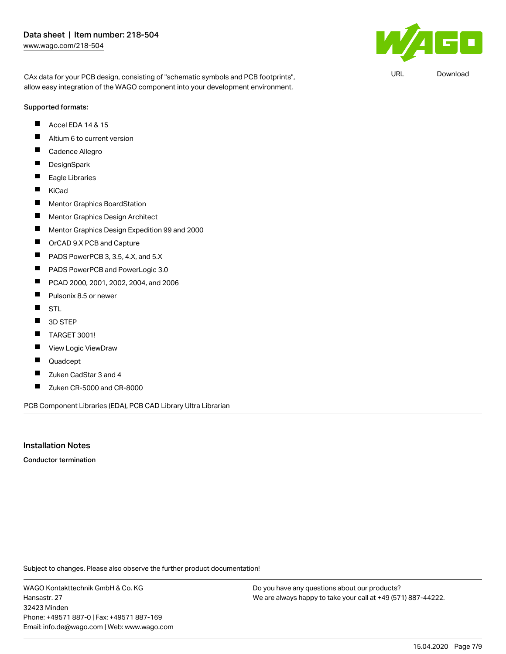$\mathbf{F}$ 

URL [Download](https://www.wago.com/de/d/UltraLibrarian_URLS_218-504)

CAx data for your PCB design, consisting of "schematic symbols and PCB footprints", allow easy integration of the WAGO component into your development environment.

#### Supported formats:

- Accel EDA 14 & 15  $\blacksquare$
- $\blacksquare$ Altium 6 to current version
- П Cadence Allegro
- $\blacksquare$ **DesignSpark**
- $\blacksquare$ Eagle Libraries
- $\blacksquare$ KiCad
- $\blacksquare$ Mentor Graphics BoardStation
- П Mentor Graphics Design Architect
- П Mentor Graphics Design Expedition 99 and 2000
- $\blacksquare$ OrCAD 9.X PCB and Capture
- $\blacksquare$ PADS PowerPCB 3, 3.5, 4.X, and 5.X
- $\blacksquare$ PADS PowerPCB and PowerLogic 3.0
- $\blacksquare$ PCAD 2000, 2001, 2002, 2004, and 2006
- $\blacksquare$ Pulsonix 8.5 or newer
- $\blacksquare$ **STL**
- $\blacksquare$ 3D STEP
- П TARGET 3001!
- $\blacksquare$ View Logic ViewDraw
- П Quadcept
- $\blacksquare$ Zuken CadStar 3 and 4
- $\blacksquare$ Zuken CR-5000 and CR-8000

PCB Component Libraries (EDA), PCB CAD Library Ultra Librarian

## Installation Notes

Conductor termination

Subject to changes. Please also observe the further product documentation!

WAGO Kontakttechnik GmbH & Co. KG Hansastr. 27 32423 Minden Phone: +49571 887-0 | Fax: +49571 887-169 Email: info.de@wago.com | Web: www.wago.com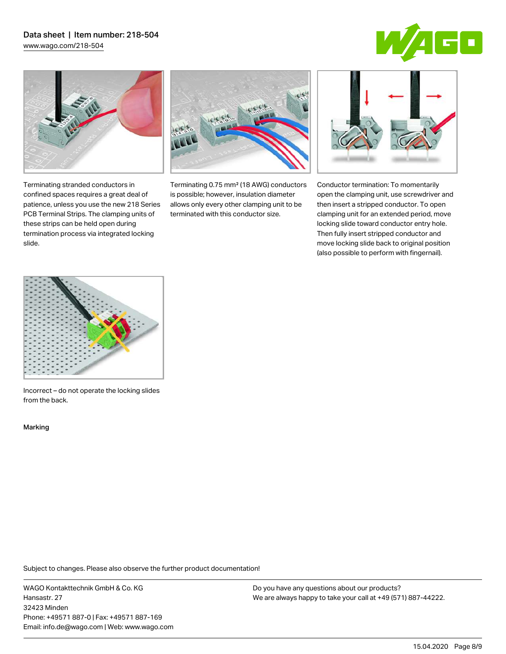# Data sheet | Item number: 218-504 [www.wago.com/218-504](http://www.wago.com/218-504)





Terminating stranded conductors in confined spaces requires a great deal of patience, unless you use the new 218 Series PCB Terminal Strips. The clamping units of these strips can be held open during termination process via integrated locking

Terminating 0.75 mm² (18 AWG) conductors is possible; however, insulation diameter allows only every other clamping unit to be terminated with this conductor size.



Conductor termination: To momentarily open the clamping unit, use screwdriver and then insert a stripped conductor. To open clamping unit for an extended period, move locking slide toward conductor entry hole. Then fully insert stripped conductor and move locking slide back to original position (also possible to perform with fingernail).



Incorrect – do not operate the locking slides from the back.

Marking

slide.

Subject to changes. Please also observe the further product documentation!

WAGO Kontakttechnik GmbH & Co. KG Hansastr. 27 32423 Minden Phone: +49571 887-0 | Fax: +49571 887-169 Email: info.de@wago.com | Web: www.wago.com